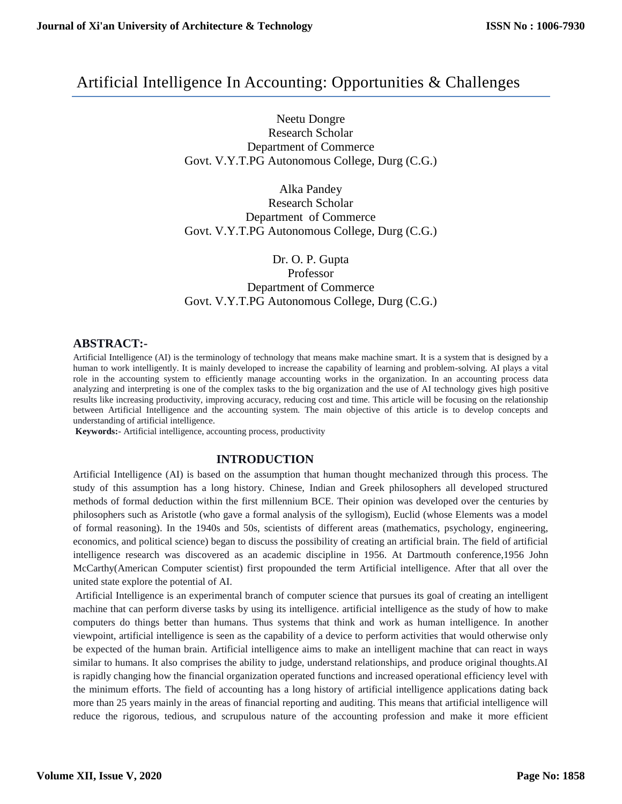## Artificial Intelligence In Accounting: Opportunities & Challenges

Neetu Dongre Research Scholar Department of Commerce Govt. V.Y.T.PG Autonomous College, Durg (C.G.)

Alka Pandey Research Scholar Department of Commerce Govt. V.Y.T.PG Autonomous College, Durg (C.G.)

Dr. O. P. Gupta Professor Department of Commerce Govt. V.Y.T.PG Autonomous College, Durg (C.G.)

### **ABSTRACT:-**

Artificial Intelligence (AI) is the terminology of technology that means make machine smart. It is a system that is designed by a human to work intelligently. It is mainly developed to increase the capability of learning and problem-solving. AI plays a vital role in the accounting system to efficiently manage accounting works in the organization. In an accounting process data analyzing and interpreting is one of the complex tasks to the big organization and the use of AI technology gives high positive results like increasing productivity, improving accuracy, reducing cost and time. This article will be focusing on the relationship between Artificial Intelligence and the accounting system. The main objective of this article is to develop concepts and understanding of artificial intelligence.

**Keywords:**- Artificial intelligence, accounting process, productivity

### **INTRODUCTION**

Artificial Intelligence (AI) is based on the assumption that human thought mechanized through this process. The study of this assumption has a long history. Chinese, Indian and Greek philosophers all developed structured methods of formal deduction within the first millennium BCE. Their opinion was developed over the centuries by philosophers such as Aristotle (who gave a formal analysis of the syllogism), Euclid (whose Elements was a model of formal reasoning). In the 1940s and 50s, scientists of different areas (mathematics, psychology, engineering, economics, and political science) began to discuss the possibility of creating an artificial brain. The field of artificial intelligence research was discovered as an academic discipline in 1956. At Dartmouth conference,1956 John McCarthy(American Computer scientist) first propounded the term Artificial intelligence. After that all over the united state explore the potential of AI.

Artificial Intelligence is an experimental branch of computer science that pursues its goal of creating an intelligent machine that can perform diverse tasks by using its intelligence. artificial intelligence as the study of how to make computers do things better than humans. Thus systems that think and work as human intelligence. In another viewpoint, artificial intelligence is seen as the capability of a device to perform activities that would otherwise only be expected of the human brain. Artificial intelligence aims to make an intelligent machine that can react in ways similar to humans. It also comprises the ability to judge, understand relationships, and produce original thoughts.AI is rapidly changing how the financial organization operated functions and increased operational efficiency level with the minimum efforts. The field of accounting has a long history of artificial intelligence applications dating back more than 25 years mainly in the areas of financial reporting and auditing. This means that artificial intelligence will reduce the rigorous, tedious, and scrupulous nature of the accounting profession and make it more efficient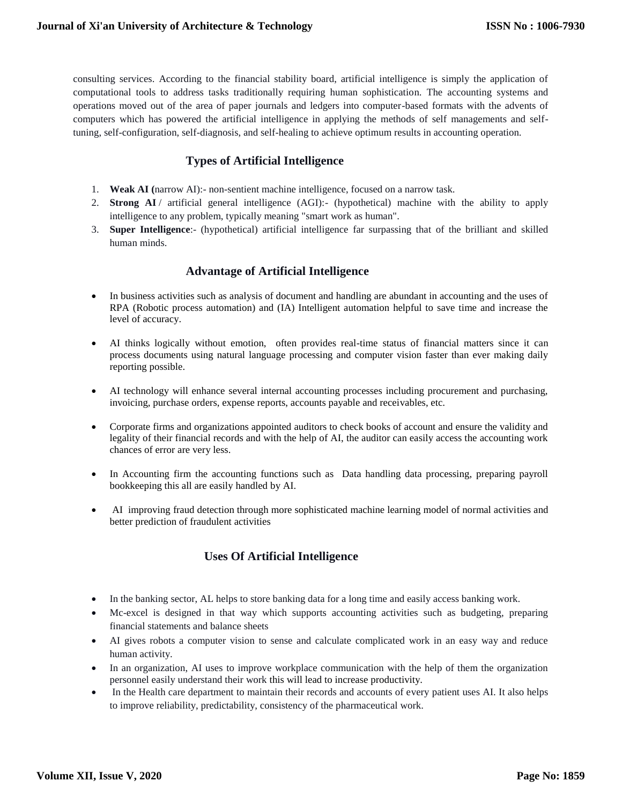consulting services. According to the financial stability board, artificial intelligence is simply the application of computational tools to address tasks traditionally requiring human sophistication. The accounting systems and operations moved out of the area of paper journals and ledgers into computer-based formats with the advents of computers which has powered the artificial intelligence in applying the methods of self managements and selftuning, self-configuration, self-diagnosis, and self-healing to achieve optimum results in accounting operation.

### **Types of Artificial Intelligence**

- 1. **Weak AI (**narrow AI):- non-sentient machine intelligence, focused on a narrow task.
- 2. **Strong AI** / artificial general intelligence (AGI):- (hypothetical) machine with the ability to apply intelligence to any problem, typically meaning "smart work as human".
- 3. **Super Intelligence**:- (hypothetical) artificial intelligence far surpassing that of the brilliant and skilled human minds.

### **Advantage of Artificial Intelligence**

- In business activities such as analysis of document and handling are abundant in accounting and the uses of RPA (Robotic process automation) and (IA) Intelligent automation helpful to save time and increase the level of accuracy.
- AI thinks logically without emotion, often provides real-time status of financial matters since it can process documents using natural language processing and computer vision faster than ever making daily reporting possible.
- AI technology will enhance several internal accounting processes including procurement and purchasing, invoicing, purchase orders, expense reports, accounts payable and receivables, etc.
- Corporate firms and organizations appointed auditors to check books of account and ensure the validity and legality of their financial records and with the help of AI, the auditor can easily access the accounting work chances of error are very less.
- In Accounting firm the accounting functions such as Data handling data processing, preparing payroll bookkeeping this all are easily handled by AI.
- AI improving fraud detection through more sophisticated machine learning model of normal activities and better prediction of fraudulent activities

## **Uses Of Artificial Intelligence**

- In the banking sector, AL helps to store banking data for a long time and easily access banking work.
- Mc-excel is designed in that way which supports accounting activities such as budgeting, preparing financial statements and balance sheets
- AI gives robots a computer vision to sense and calculate complicated work in an easy way and reduce human activity.
- In an organization, AI uses to improve workplace communication with the help of them the organization personnel easily understand their work this will lead to increase productivity.
- In the Health care department to maintain their records and accounts of every patient uses AI. It also helps to improve reliability, predictability, consistency of the pharmaceutical work.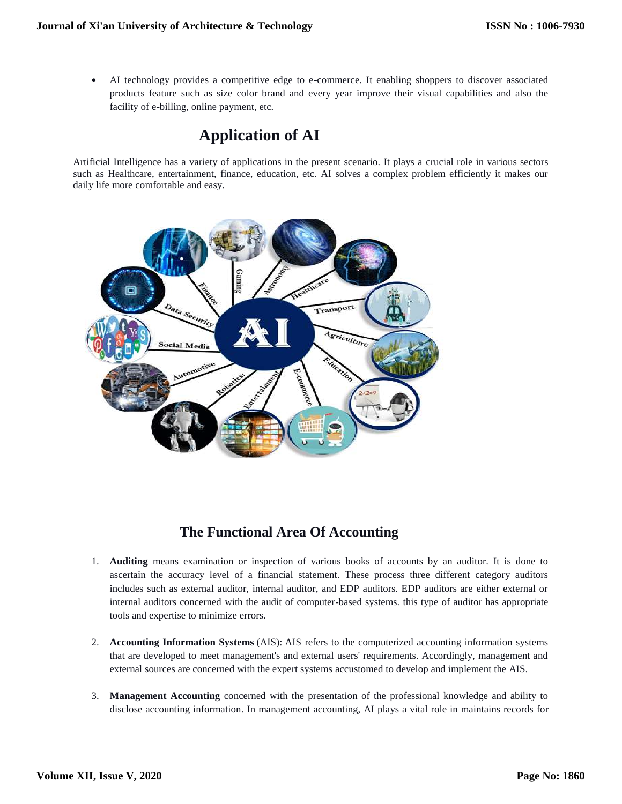AI technology provides a competitive edge to e-commerce. It enabling shoppers to discover associated products feature such as size color brand and every year improve their visual capabilities and also the facility of e-billing, online payment, etc.

# **Application of AI**

Artificial Intelligence has a variety of applications in the present scenario. It plays a crucial role in various sectors such as Healthcare, entertainment, finance, education, etc. AI solves a complex problem efficiently it makes our daily life more comfortable and easy.



## **The Functional Area Of Accounting**

- 1. **Auditing** means examination or inspection of various books of accounts by an auditor. It is done to ascertain the accuracy level of a financial statement. These process three different category auditors includes such as external auditor, internal auditor, and EDP auditors. EDP auditors are either external or internal auditors concerned with the audit of computer-based systems. this type of auditor has appropriate tools and expertise to minimize errors.
- 2. **Accounting Information Systems** (AIS): AIS refers to the computerized accounting information systems that are developed to meet management's and external users' requirements. Accordingly, management and external sources are concerned with the expert systems accustomed to develop and implement the AIS.
- 3. **Management Accounting** concerned with the presentation of the professional knowledge and ability to disclose accounting information. In management accounting, AI plays a vital role in maintains records for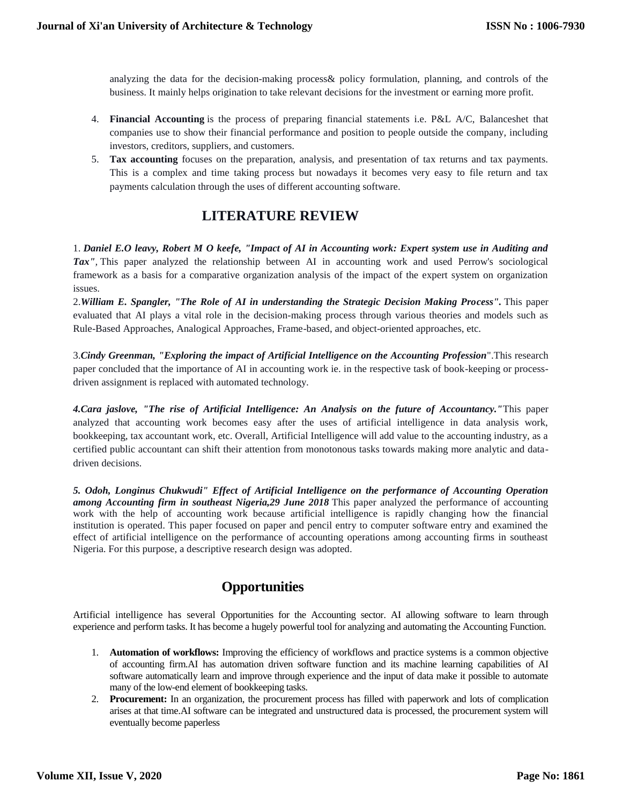analyzing the data for the decision-making process& policy formulation, planning, and controls of the business. It mainly helps origination to take relevant decisions for the investment or earning more profit.

- 4. **Financial Accounting** is the process of preparing financial statements i.e. P&L A/C, Balanceshet that companies use to show their financial performance and position to people outside the company, including investors, creditors, suppliers, and customers.
- 5. **Tax accounting** focuses on the preparation, analysis, and presentation of tax returns and tax payments. This is a complex and time taking process but nowadays it becomes very easy to file return and tax payments calculation through the uses of different accounting software.

## **LITERATURE REVIEW**

1. *Daniel E.O leavy, Robert M O keefe, "Impact of AI in Accounting work: Expert system use in Auditing and Tax",* This paper analyzed the relationship between AI in accounting work and used Perrow's sociological framework as a basis for a comparative organization analysis of the impact of the expert system on organization issues.

2.*William E. Spangler, "The Role of AI in understanding the Strategic Decision Making Process".* This paper evaluated that AI plays a vital role in the decision-making process through various theories and models such as Rule-Based Approaches, Analogical Approaches, Frame-based, and object-oriented approaches, etc.

3.*Cindy Greenman, "Exploring the impact of Artificial Intelligence on the Accounting Profession*".This research paper concluded that the importance of AI in accounting work ie. in the respective task of book-keeping or processdriven assignment is replaced with automated technology.

*4.Cara jaslove, "The rise of Artificial Intelligence: An Analysis on the future of Accountancy."*This paper analyzed that accounting work becomes easy after the uses of artificial intelligence in data analysis work, bookkeeping, tax accountant work, etc. Overall, Artificial Intelligence will add value to the accounting industry, as a certified public accountant can shift their attention from monotonous tasks towards making more analytic and datadriven decisions.

*5. Odoh, Longinus Chukwudi" Effect of Artificial Intelligence on the performance of Accounting Operation among Accounting firm in southeast Nigeria,29 June 2018* This paper analyzed the performance of accounting work with the help of accounting work because artificial intelligence is rapidly changing how the financial institution is operated. This paper focused on paper and pencil entry to computer software entry and examined the effect of artificial intelligence on the performance of accounting operations among accounting firms in southeast Nigeria. For this purpose, a descriptive research design was adopted.

## **Opportunities**

Artificial intelligence has several Opportunities for the Accounting sector. AI allowing software to learn through experience and perform tasks. It has become a hugely powerful tool for analyzing and automating the Accounting Function.

- 1. **Automation of workflows:** Improving the efficiency of workflows and practice systems is a common objective of accounting firm.AI has automation driven software function and its machine learning capabilities of AI software automatically learn and improve through experience and the input of data make it possible to automate many of the low-end element of bookkeeping tasks.
- 2. **Procurement:** In an organization, the procurement process has filled with paperwork and lots of complication arises at that time.AI software can be integrated and unstructured data is processed, the procurement system will eventually become paperless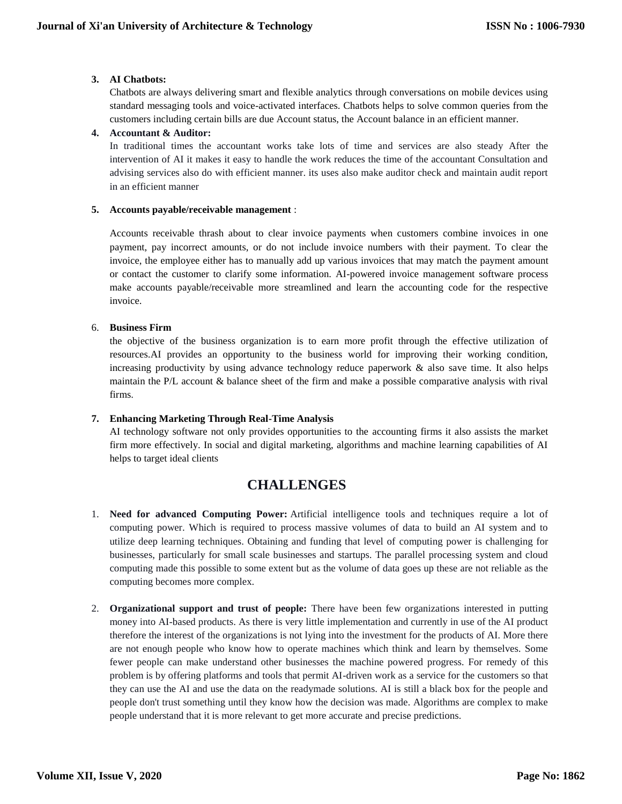#### **3. AI Chatbots:**

[Chatbots](https://www.newgenapps.com/blog/7-things-you-wont-know-what-are-chatbots-and-why-do-you-need-it/) are always delivering smart and flexible analytics through conversations on mobile devices using standard messaging tools and voice-activated interfaces. Chatbots helps to solve common queries from the customers including certain bills are due Account status, the Account balance in an efficient manner.

#### **4. Accountant & Auditor:**

In traditional times the accountant works take lots of time and services are also steady After the intervention of AI it makes it easy to handle the work reduces the time of the accountant Consultation and advising services also do with efficient manner. its uses also make auditor check and maintain audit report in an efficient manner

### **5. Accounts payable/receivable management** :

Accounts receivable thrash about to clear invoice payments when customers combine invoices in one payment, pay incorrect amounts, or do not include invoice numbers with their payment. To clear the invoice, the employee either has to manually add up various invoices that may match the payment amount or contact the customer to clarify some information. AI-powered invoice management software process make accounts payable/receivable more streamlined and learn the accounting code for the respective invoice.

#### 6. **Business Firm**

the objective of the business organization is to earn more profit through the effective utilization of resources.AI provides an opportunity to the business world for improving their working condition, increasing productivity by using advance technology reduce paperwork & also save time. It also helps maintain the P/L account & balance sheet of the firm and make a possible comparative analysis with rival firms.

#### **7. Enhancing Marketing Through Real-Time Analysis**

AI technology software not only provides opportunities to the accounting firms it also assists the market firm more effectively. In social and digital marketing, algorithms and machine learning capabilities of AI helps to target ideal clients

## **CHALLENGES**

- 1. **Need for advanced Computing Power:** Artificial intelligence tools and techniques require a lot of computing power. Which is required to process massive volumes of data to build an AI system and to utilize deep learning techniques. Obtaining and funding that level of computing power is challenging for businesses, particularly for small scale businesses and startups. The parallel processing system and cloud computing made this possible to some extent but as the volume of data goes up these are not reliable as the computing becomes more complex.
- 2. **Organizational support and trust of people:** There have been few organizations interested in putting money into AI-based products. As there is very little implementation and currently in use of the AI product therefore the interest of the organizations is not lying into the investment for the products of AI. More there are not enough people who know how to operate machines which think and learn by themselves. Some fewer people can make understand other businesses the machine powered progress. For remedy of this problem is by offering platforms and tools that permit AI-driven work as a service for the customers so that they can use the AI and use the data on the readymade solutions. AI is still a black box for the people and people don't trust something until they know how the decision was made. Algorithms are complex to make people understand that it is more relevant to get more accurate and precise predictions.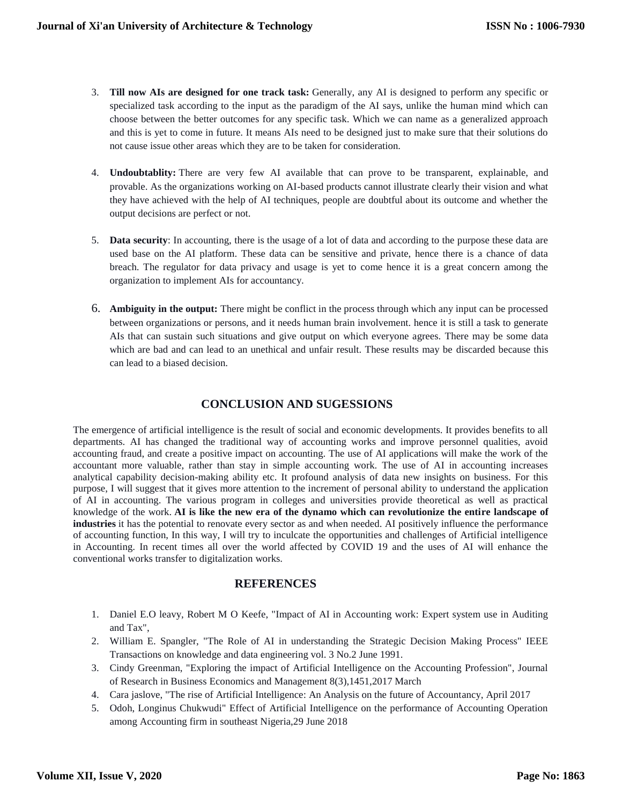- 3. **Till now AIs are designed for one track task:** Generally, any AI is designed to perform any specific or specialized task according to the input as the paradigm of the AI says, unlike the human mind which can choose between the better outcomes for any specific task. Which we can name as a generalized approach and this is yet to come in future. It means AIs need to be designed just to make sure that their solutions do not cause issue other areas which they are to be taken for consideration.
- 4. **Undoubtablity:** There are very few AI available that can prove to be transparent, explainable, and provable. As the organizations working on AI-based products cannot illustrate clearly their vision and what they have achieved with the help of AI techniques, people are doubtful about its outcome and whether the output decisions are perfect or not.
- 5. **Data security**: In accounting, there is the usage of a lot of data and according to the purpose these data are used base on the AI platform. These data can be sensitive and private, hence there is a chance of data breach. The regulator for data privacy and usage is yet to come hence it is a great concern among the organization to implement AIs for accountancy.
- 6. **Ambiguity in the output:** There might be conflict in the process through which any input can be processed between organizations or persons, and it needs human brain involvement. hence it is still a task to generate AIs that can sustain such situations and give output on which everyone agrees. There may be some data which are bad and can lead to an unethical and unfair result. These results may be discarded because this can lead to a biased decision.

### **CONCLUSION AND SUGESSIONS**

The emergence of artificial intelligence is the result of social and economic developments. It provides benefits to all departments. AI has changed the traditional way of accounting works and improve personnel qualities, avoid accounting fraud, and create a positive impact on accounting. The use of AI applications will make the work of the accountant more valuable, rather than stay in simple accounting work. The use of AI in accounting increases analytical capability decision-making ability etc. It profound analysis of data new insights on business. For this purpose, I will suggest that it gives more attention to the increment of personal ability to understand the application of AI in accounting. The various program in colleges and universities provide theoretical as well as practical knowledge of the work. **AI is like the new era of the dynamo which can revolutionize the entire landscape of industries** it has the potential to renovate every sector as and when needed. AI positively influence the performance of accounting function, In this way, I will try to inculcate the opportunities and challenges of Artificial intelligence in Accounting. In recent times all over the world affected by COVID 19 and the uses of AI will enhance the conventional works transfer to digitalization works.

### **REFERENCES**

- 1. Daniel E.O leavy, Robert M O Keefe, "Impact of AI in Accounting work: Expert system use in Auditing and Tax",
- 2. William E. Spangler, "The Role of AI in understanding the Strategic Decision Making Process" IEEE Transactions on knowledge and data engineering vol. 3 No.2 June 1991.
- 3. Cindy Greenman, "Exploring the impact of Artificial Intelligence on the Accounting Profession", Journal of Research in Business Economics and Management 8(3),1451,2017 March
- 4. Cara jaslove, "The rise of Artificial Intelligence: An Analysis on the future of Accountancy, April 2017
- 5. Odoh, Longinus Chukwudi" Effect of Artificial Intelligence on the performance of Accounting Operation among Accounting firm in southeast Nigeria,29 June 2018